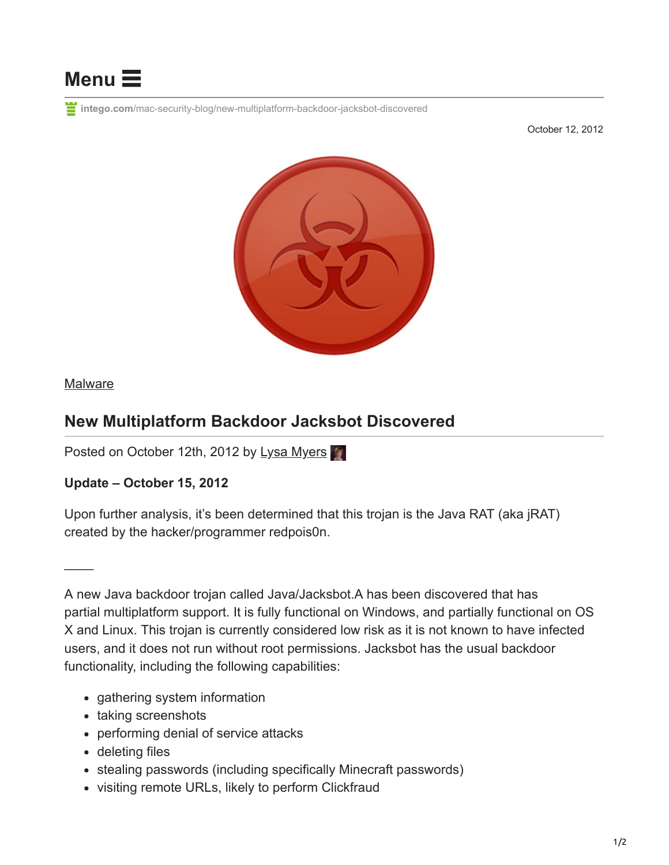

**intego.com**[/mac-security-blog/new-multiplatform-backdoor-jacksbot-discovered](https://www.intego.com/mac-security-blog/new-multiplatform-backdoor-jacksbot-discovered)

October 12, 2012



## **[Malware](https://www.intego.com/mac-security-blog/category/malware/)**

 $\overline{\phantom{a}}$ 

## **New Multiplatform Backdoor Jacksbot Discovered**

Posted on October 12th, 2012 by [Lysa Myers](https://www.intego.com/mac-security-blog/author/lysam/)

## **Update – October 15, 2012**

Upon further analysis, it's been determined that this trojan is the Java RAT (aka jRAT) created by the hacker/programmer redpois0n.

A new Java backdoor trojan called Java/Jacksbot.A has been discovered that has partial multiplatform support. It is fully functional on Windows, and partially functional on OS X and Linux. This trojan is currently considered low risk as it is not known to have infected users, and it does not run without root permissions. Jacksbot has the usual backdoor functionality, including the following capabilities:

- gathering system information
- taking screenshots
- performing denial of service attacks
- deleting files
- stealing passwords (including specifically Minecraft passwords)
- visiting remote URLs, likely to perform Clickfraud